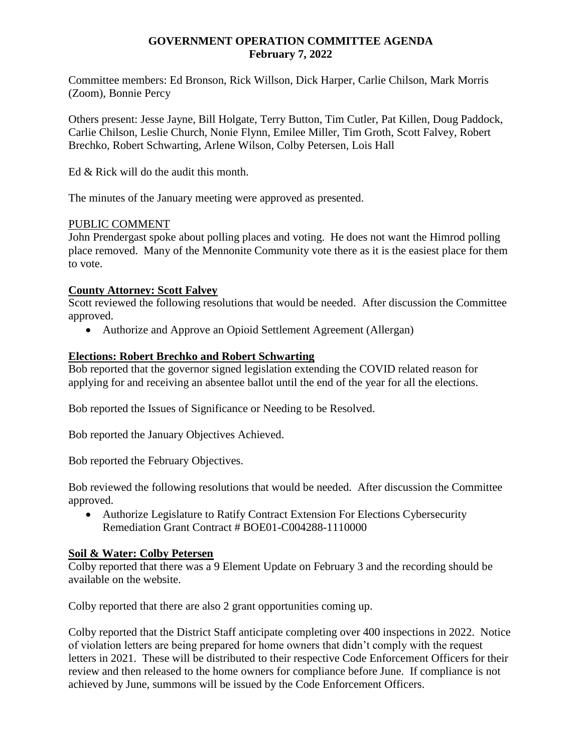#### **GOVERNMENT OPERATION COMMITTEE AGENDA February 7, 2022**

Committee members: Ed Bronson, Rick Willson, Dick Harper, Carlie Chilson, Mark Morris (Zoom), Bonnie Percy

Others present: Jesse Jayne, Bill Holgate, Terry Button, Tim Cutler, Pat Killen, Doug Paddock, Carlie Chilson, Leslie Church, Nonie Flynn, Emilee Miller, Tim Groth, Scott Falvey, Robert Brechko, Robert Schwarting, Arlene Wilson, Colby Petersen, Lois Hall

Ed & Rick will do the audit this month.

The minutes of the January meeting were approved as presented.

#### PUBLIC COMMENT

John Prendergast spoke about polling places and voting. He does not want the Himrod polling place removed. Many of the Mennonite Community vote there as it is the easiest place for them to vote.

#### **County Attorney: Scott Falvey**

Scott reviewed the following resolutions that would be needed. After discussion the Committee approved.

• Authorize and Approve an Opioid Settlement Agreement (Allergan)

#### **Elections: Robert Brechko and Robert Schwarting**

Bob reported that the governor signed legislation extending the COVID related reason for applying for and receiving an absentee ballot until the end of the year for all the elections.

Bob reported the Issues of Significance or Needing to be Resolved.

Bob reported the January Objectives Achieved.

Bob reported the February Objectives.

Bob reviewed the following resolutions that would be needed. After discussion the Committee approved.

 Authorize Legislature to Ratify Contract Extension For Elections Cybersecurity Remediation Grant Contract # BOE01-C004288-1110000

## **Soil & Water: Colby Petersen**

Colby reported that there was a 9 Element Update on February 3 and the recording should be available on the website.

Colby reported that there are also 2 grant opportunities coming up.

Colby reported that the District Staff anticipate completing over 400 inspections in 2022. Notice of violation letters are being prepared for home owners that didn't comply with the request letters in 2021. These will be distributed to their respective Code Enforcement Officers for their review and then released to the home owners for compliance before June. If compliance is not achieved by June, summons will be issued by the Code Enforcement Officers.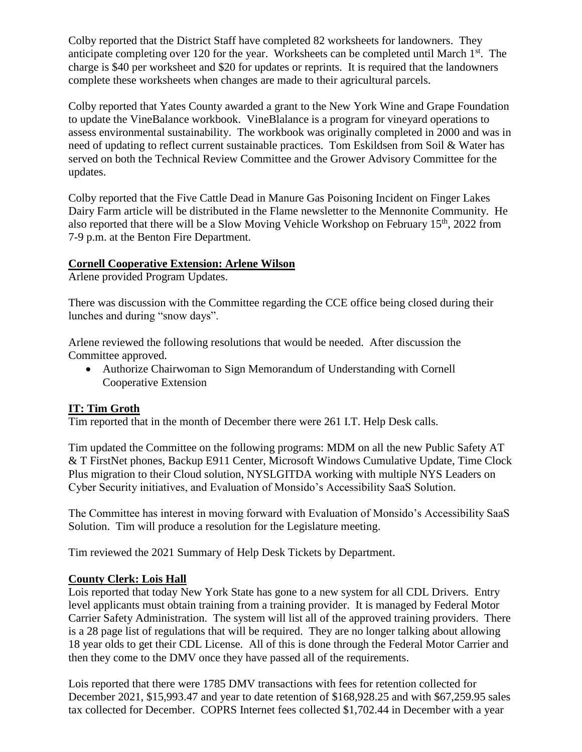Colby reported that the District Staff have completed 82 worksheets for landowners. They anticipate completing over 120 for the year. Worksheets can be completed until March 1<sup>st</sup>. The charge is \$40 per worksheet and \$20 for updates or reprints. It is required that the landowners complete these worksheets when changes are made to their agricultural parcels.

Colby reported that Yates County awarded a grant to the New York Wine and Grape Foundation to update the VineBalance workbook. VineBlalance is a program for vineyard operations to assess environmental sustainability. The workbook was originally completed in 2000 and was in need of updating to reflect current sustainable practices. Tom Eskildsen from Soil & Water has served on both the Technical Review Committee and the Grower Advisory Committee for the updates.

Colby reported that the Five Cattle Dead in Manure Gas Poisoning Incident on Finger Lakes Dairy Farm article will be distributed in the Flame newsletter to the Mennonite Community. He also reported that there will be a Slow Moving Vehicle Workshop on February 15th, 2022 from 7-9 p.m. at the Benton Fire Department.

#### **Cornell Cooperative Extension: Arlene Wilson**

Arlene provided Program Updates.

There was discussion with the Committee regarding the CCE office being closed during their lunches and during "snow days".

Arlene reviewed the following resolutions that would be needed. After discussion the Committee approved.

 Authorize Chairwoman to Sign Memorandum of Understanding with Cornell Cooperative Extension

## **IT: Tim Groth**

Tim reported that in the month of December there were 261 I.T. Help Desk calls.

Tim updated the Committee on the following programs: MDM on all the new Public Safety AT & T FirstNet phones, Backup E911 Center, Microsoft Windows Cumulative Update, Time Clock Plus migration to their Cloud solution, NYSLGITDA working with multiple NYS Leaders on Cyber Security initiatives, and Evaluation of Monsido's Accessibility SaaS Solution.

The Committee has interest in moving forward with Evaluation of Monsido's Accessibility SaaS Solution. Tim will produce a resolution for the Legislature meeting.

Tim reviewed the 2021 Summary of Help Desk Tickets by Department.

## **County Clerk: Lois Hall**

Lois reported that today New York State has gone to a new system for all CDL Drivers. Entry level applicants must obtain training from a training provider. It is managed by Federal Motor Carrier Safety Administration. The system will list all of the approved training providers. There is a 28 page list of regulations that will be required. They are no longer talking about allowing 18 year olds to get their CDL License. All of this is done through the Federal Motor Carrier and then they come to the DMV once they have passed all of the requirements.

Lois reported that there were 1785 DMV transactions with fees for retention collected for December 2021, \$15,993.47 and year to date retention of \$168,928.25 and with \$67,259.95 sales tax collected for December. COPRS Internet fees collected \$1,702.44 in December with a year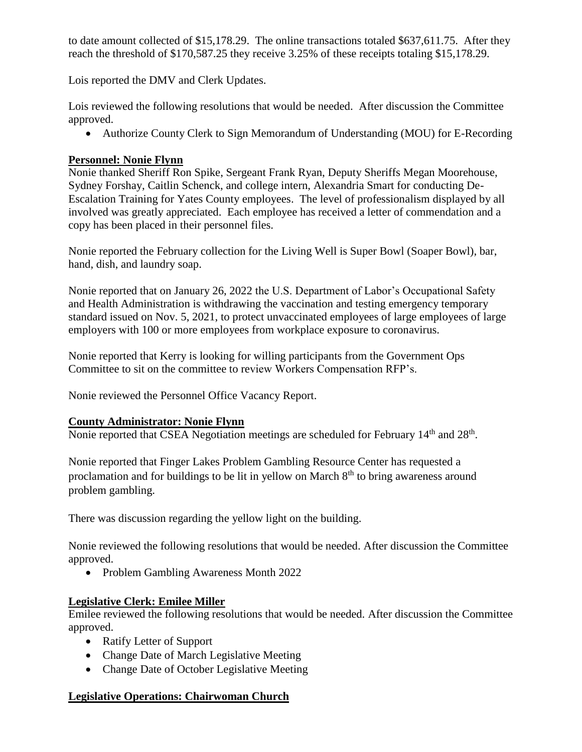to date amount collected of \$15,178.29. The online transactions totaled \$637,611.75. After they reach the threshold of \$170,587.25 they receive 3.25% of these receipts totaling \$15,178.29.

Lois reported the DMV and Clerk Updates.

Lois reviewed the following resolutions that would be needed. After discussion the Committee approved.

Authorize County Clerk to Sign Memorandum of Understanding (MOU) for E-Recording

# **Personnel: Nonie Flynn**

Nonie thanked Sheriff Ron Spike, Sergeant Frank Ryan, Deputy Sheriffs Megan Moorehouse, Sydney Forshay, Caitlin Schenck, and college intern, Alexandria Smart for conducting De-Escalation Training for Yates County employees. The level of professionalism displayed by all involved was greatly appreciated. Each employee has received a letter of commendation and a copy has been placed in their personnel files.

Nonie reported the February collection for the Living Well is Super Bowl (Soaper Bowl), bar, hand, dish, and laundry soap.

Nonie reported that on January 26, 2022 the U.S. Department of Labor's Occupational Safety and Health Administration is withdrawing the vaccination and testing emergency temporary standard issued on Nov. 5, 2021, to protect unvaccinated employees of large employees of large employers with 100 or more employees from workplace exposure to coronavirus.

Nonie reported that Kerry is looking for willing participants from the Government Ops Committee to sit on the committee to review Workers Compensation RFP's.

Nonie reviewed the Personnel Office Vacancy Report.

## **County Administrator: Nonie Flynn**

Nonie reported that CSEA Negotiation meetings are scheduled for February  $14<sup>th</sup>$  and  $28<sup>th</sup>$ .

Nonie reported that Finger Lakes Problem Gambling Resource Center has requested a proclamation and for buildings to be lit in yellow on March  $8<sup>th</sup>$  to bring awareness around problem gambling.

There was discussion regarding the yellow light on the building.

Nonie reviewed the following resolutions that would be needed. After discussion the Committee approved.

• Problem Gambling Awareness Month 2022

# **Legislative Clerk: Emilee Miller**

Emilee reviewed the following resolutions that would be needed. After discussion the Committee approved.

- Ratify Letter of Support
- Change Date of March Legislative Meeting
- Change Date of October Legislative Meeting

# **Legislative Operations: Chairwoman Church**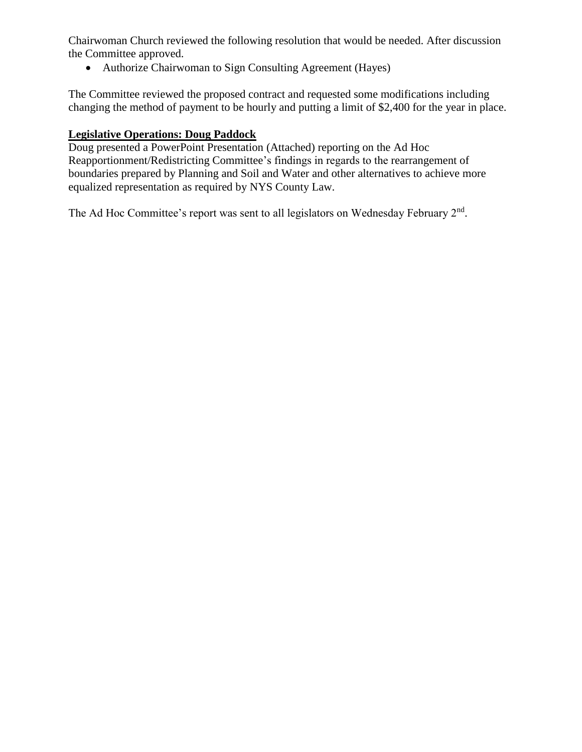Chairwoman Church reviewed the following resolution that would be needed. After discussion the Committee approved.

Authorize Chairwoman to Sign Consulting Agreement (Hayes)

The Committee reviewed the proposed contract and requested some modifications including changing the method of payment to be hourly and putting a limit of \$2,400 for the year in place.

# **Legislative Operations: Doug Paddock**

Doug presented a PowerPoint Presentation (Attached) reporting on the Ad Hoc Reapportionment/Redistricting Committee's findings in regards to the rearrangement of boundaries prepared by Planning and Soil and Water and other alternatives to achieve more equalized representation as required by NYS County Law.

The Ad Hoc Committee's report was sent to all legislators on Wednesday February 2<sup>nd</sup>.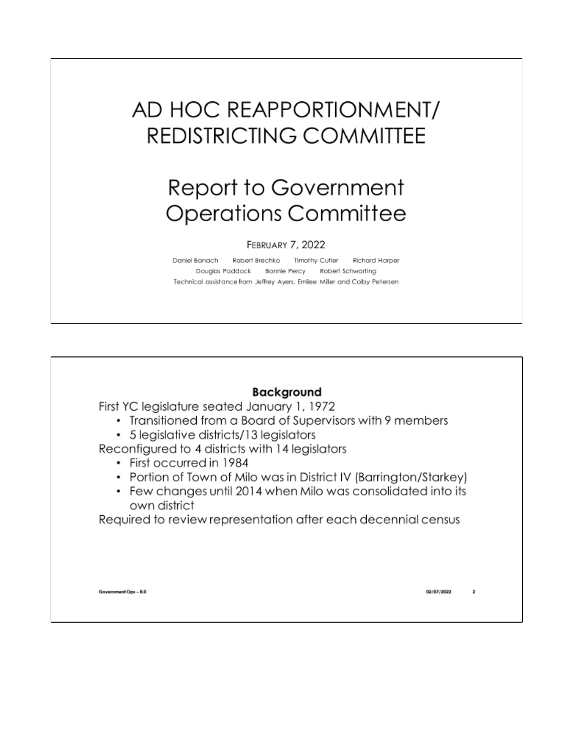# AD HOC REAPPORTIONMENT/ **REDISTRICTING COMMITTEE**

# Report to Government **Operations Committee**

#### FEBRUARY 7, 2022

Daniel Banach Robert Brechko Timothy Cutler **Richard Harper** Douglas Paddock Bonnie Percy Robert Schwarting Technical assistance from Jeffrey Ayers, Emilee Miller and Colby Petersen

# **Backaround**

First YC legislature seated January 1, 1972

- Transitioned from a Board of Supervisors with 9 members
- 5 legislative districts/13 legislators

Reconfigured to 4 districts with 14 legislators

- First occurred in 1984
- Portion of Town of Milo was in District IV (Barrington/Starkey)
- Few changes until 2014 when Milo was consolidated into its own district

Required to review representation after each decennial census

Government Ops - R.O

02/07/2022  $\mathbf{z}$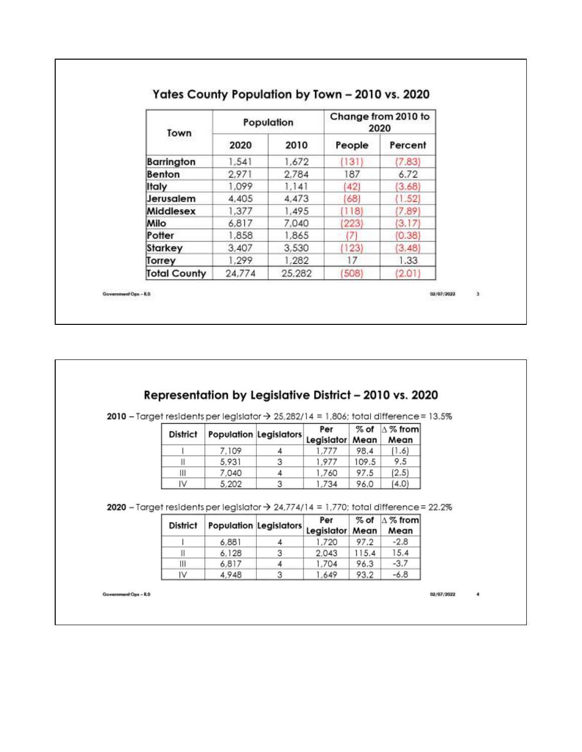| Town                |        | Population | Change from 2010 to<br>2020 |         |  |
|---------------------|--------|------------|-----------------------------|---------|--|
|                     | 2020   | 2010       | People                      | Percent |  |
| Barrington          | 1,541  | 1,672      | (131)                       | (7.83)  |  |
| Benton              | 2.971  | 2,784      | 87                          | 6.72    |  |
| ltaly               | 1.099  | 1,141      | 42)                         | (3.68)  |  |
| Jerusalem           | 4,405  | 4,473      | 68)                         | (1.52)  |  |
| Middlesex           | 1,377  | 1,495      | (118)                       | (7.89)  |  |
| Milo                | 6.817  | 7,040      | (223)                       | [3.17]  |  |
| Potter              | 1,858  | 1,865      | 7)                          | (0.38)  |  |
| Starkey             | 3,407  | 3,530      | (123)                       | (3.48)  |  |
| Torrey              | 1,299  | 1,282      | 17                          | 1.33    |  |
| <b>Total County</b> | 24,774 | 25,282     | (508)                       | (2.01)  |  |

# Representation by Legislative District - 2010 vs. 2020

| 2010 - Target residents per legislator $\rightarrow$ 25,282/14 = 1,806; total difference = 13.5% |  |  |  |
|--------------------------------------------------------------------------------------------------|--|--|--|
|--------------------------------------------------------------------------------------------------|--|--|--|

| District |                                        | Per   |       | $%$ of $ \triangle \%$ from |
|----------|----------------------------------------|-------|-------|-----------------------------|
|          | Population Legislators Legislator Mean |       |       | Mean                        |
|          | 7.109                                  | 1.777 | 98.4  | (1.6)                       |
|          | 5.931                                  | 1.977 | 109.5 | 9.5                         |
| Ш        | 7.040                                  | 1,760 | 97.5  | (2.5)                       |
| IV       | 5.202                                  | 1.734 | 96.0  | (4.0)                       |

|   | 109   |   |       | 98.4  | -6    |
|---|-------|---|-------|-------|-------|
|   | 5,931 | 3 | 1,977 | 109.5 | 9.5   |
| Ш | 7,040 |   | 1,760 | 97.5  | (2.5) |
| w | 5.202 | o | 734   | 96.0  | 4.0   |

|          |                                        |   | Per   | $\%$ of | $\Delta$ % from |
|----------|----------------------------------------|---|-------|---------|-----------------|
| District | Population Legislators Legislator Mean |   |       |         | Mean            |
|          | 6.881                                  |   | 1.720 | 97.2    | $-2.8$          |
|          | 6.128                                  | 3 | 2.043 | 115.4   | 15.4            |
| Ш        | 6.817                                  |   | 1,704 | 96.3    | $-3.7$          |
| ľν       | 4,948                                  | 3 | 1.649 | 93.2    | -6.8            |

Government Ops - R.O

02/07/2022

4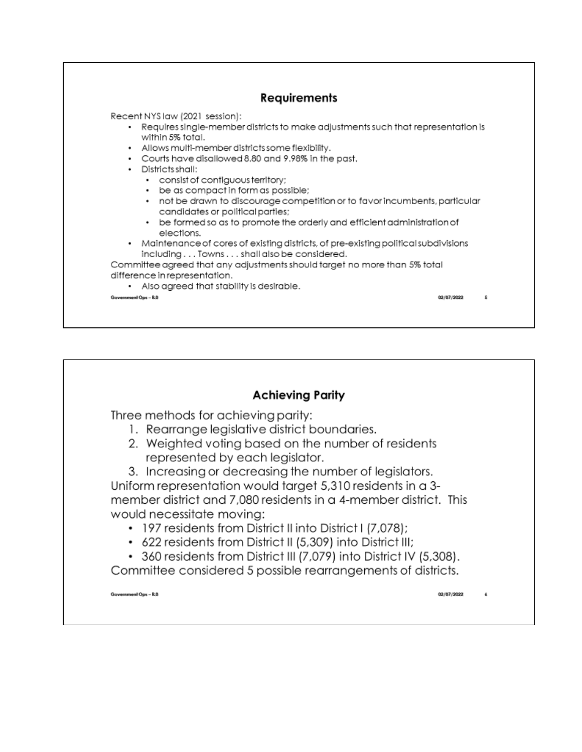

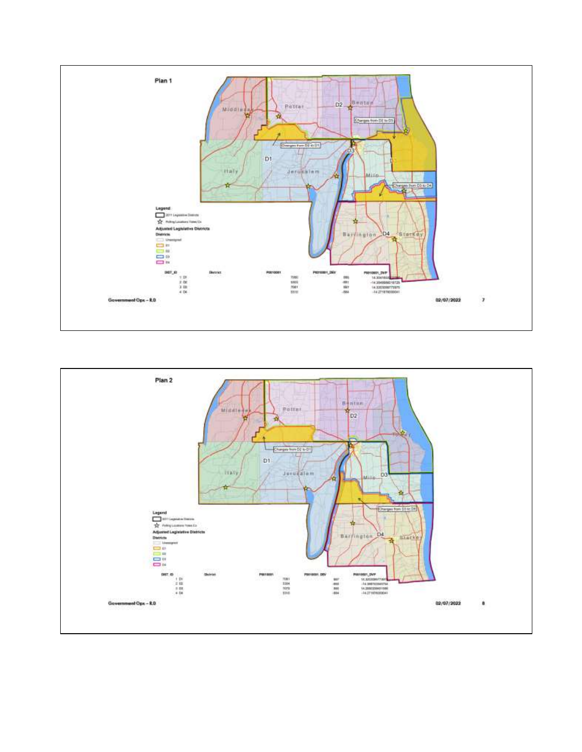

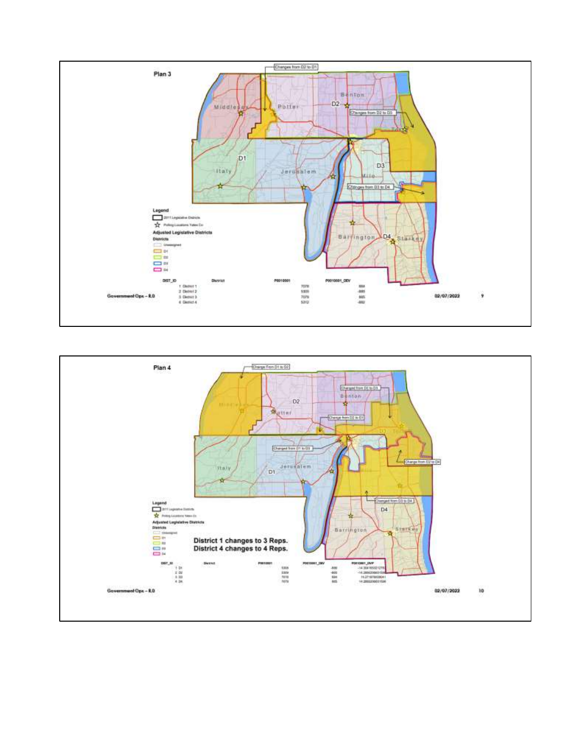

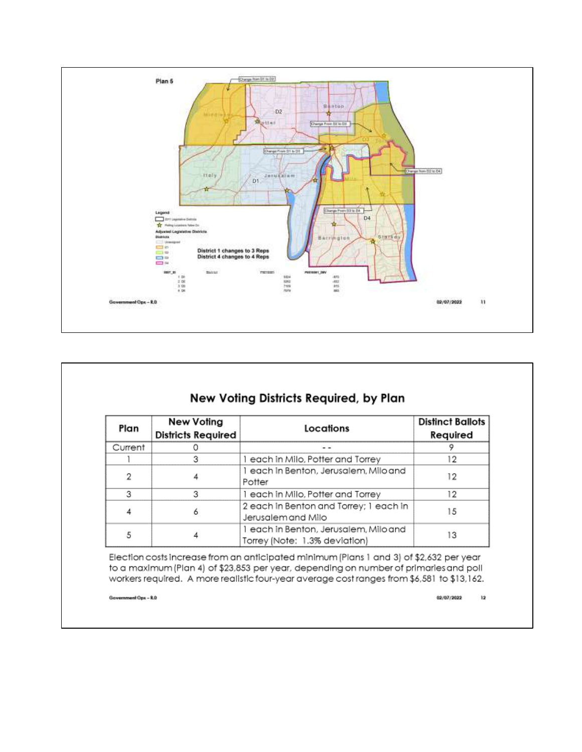

# New Voting Districts Required, by Plan

| Plan    | New Voting<br><b>Districts Required</b> | Locations                                                              | <b>Distinct Ballots</b><br>Required |  |  |  |  |
|---------|-----------------------------------------|------------------------------------------------------------------------|-------------------------------------|--|--|--|--|
| Current |                                         |                                                                        |                                     |  |  |  |  |
|         |                                         | 1 each in Milo, Potter and Torrey                                      | 12                                  |  |  |  |  |
|         |                                         | 1 each in Benton, Jerusalem, Milo and<br>Potter                        |                                     |  |  |  |  |
|         | 3                                       | 1 each in Milo, Potter and Torrey                                      | 12.                                 |  |  |  |  |
|         | 6                                       | 2 each in Benton and Torrey; 1 each in<br>Jerusalem and Milo           | 15                                  |  |  |  |  |
|         |                                         | 1 each in Benton, Jerusalem, Milo and<br>Torrey (Note: 1.3% deviation) | 13                                  |  |  |  |  |

Election costs increase from an anticipated minimum (Plans 1 and 3) of \$2,632 per year to a maximum (Plan 4) of \$23,853 per year, depending on number of primaries and poll workers required. A more realistic four-year average cost ranges from \$6,581 to \$13,162.

Government Ops - R.O.

02/07/2022  $\mathbf{12}$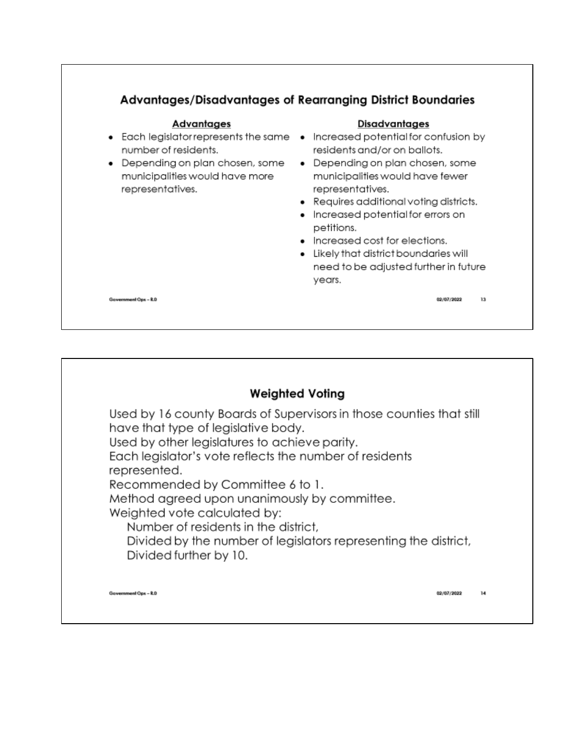

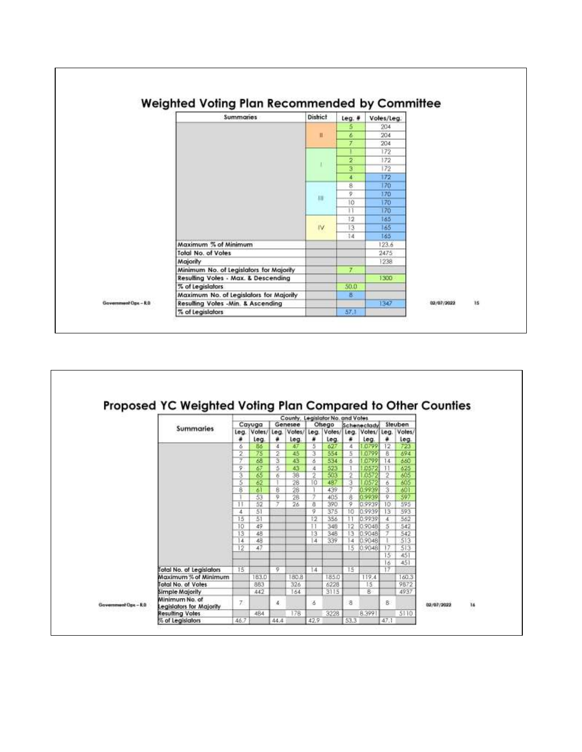

|                       |                                            |                       | Cayuga              |        | County, Legislator No. and Votes<br>Genesee |            | Ofsego         |           | Scheneclady         |                | Steuben        |            |    |
|-----------------------|--------------------------------------------|-----------------------|---------------------|--------|---------------------------------------------|------------|----------------|-----------|---------------------|----------------|----------------|------------|----|
|                       | <b>Summaries</b>                           | Leg.                  | Votes/ Leg.<br>leg. | ٠      | Votes/<br>Leg.                              | teg.<br>٠  | Votes/<br>Leg. | leg.<br>٠ | Votes/ Leg.<br>Leg. | ٠              | Votes/<br>leg. |            |    |
|                       |                                            | 6                     | 86                  | x      | 47                                          | 5          | 627            | 4         | 0799                | 12             | 723            |            |    |
|                       |                                            | 2.                    | 75                  | 2      | 45                                          | з          | 554            | 5         | .0799               | 8              | 894            |            |    |
|                       |                                            | 7                     | 68                  | s      | 43                                          | s          | 534            | 6         | .0799               | 14             | 660            |            |    |
|                       |                                            | 9                     | 67                  | 5      | 43                                          | 4          | 523            |           | <b>0572</b>         | -11            | 625            |            |    |
|                       |                                            | 3                     | 65                  | 6      | 38                                          | 2          | 503            | 2         | 0572                | $\overline{2}$ | 605            |            |    |
|                       |                                            | 5                     | 62                  |        | 28                                          | ïΰ         | 487            | з         | .0572               | 6              | 605            |            |    |
|                       |                                            | 8                     | 61                  | 8      | 28                                          |            | 439            | 7         | 0.9939              | 3              | 601            |            |    |
|                       |                                            |                       | 53                  | 9      | 28                                          | 7          | 405            | 8         | 0.9939              | 9              | 597            |            |    |
|                       |                                            | -14.                  | 52                  | $\tau$ | 26                                          | a          | 390            | 9         | 0.9939              | 10             | 595            |            |    |
|                       |                                            | 4                     | 51                  |        |                                             | 9          | 375            | 10        | 0.9939              | 13             | 593            |            |    |
|                       |                                            | 15                    | 51<br>49            |        |                                             | 12         | 356            |           | 0.9939              | $\overline{4}$ | 562            |            |    |
|                       |                                            | 10 <sup>°</sup><br>13 | 48                  |        |                                             | $+1$<br>13 | 348<br>346     | 12<br>13  | 0.9048<br>0.9048    | 5<br>τ         | 542<br>542     |            |    |
|                       |                                            | 14                    | 48                  |        |                                             | 14         | 339            | 14        | 0.9048              |                | 513            |            |    |
|                       |                                            | 12                    | 47                  |        |                                             |            |                | 15        | 0.9048              | 17             | 513            |            |    |
|                       |                                            |                       |                     |        |                                             |            |                |           |                     | 15             | 451            |            |    |
|                       |                                            |                       |                     |        |                                             |            |                |           |                     | 16             | 451            |            |    |
|                       | Total No. of Legislators                   | 15                    |                     | 9      |                                             | 14         |                | 15        |                     | 17             |                |            |    |
|                       | Maximum % of Minimum                       |                       | 183.0               |        | 180.8                                       |            | 185.0          |           | 119:4               |                | 160.3          |            |    |
|                       | Total No. of Votes                         |                       | 883                 |        | 326                                         |            | 6228           |           | 15                  |                | 9872           |            |    |
|                       | Simple Majority                            |                       | 442                 |        | 164                                         |            | 3115           |           | 8                   |                | 4937           |            |    |
| Government Ops - R.D. | Minimum No. of<br>Legislators for Majority | 7.                    |                     | 4.     |                                             | z          |                | 泪         |                     | ß.             |                | 02/07/2022 | 16 |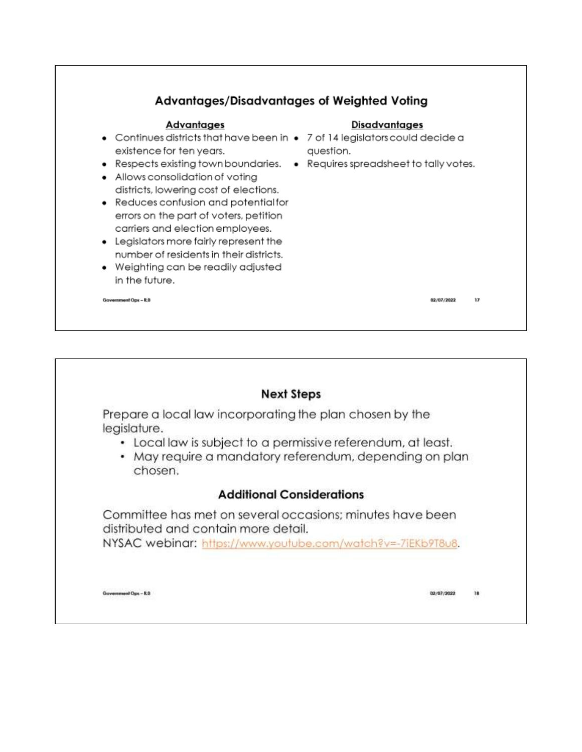

# **Next Steps**

Prepare a local law incorporating the plan chosen by the legislature.

- Local law is subject to a permissive referendum, at least.
- May require a mandatory referendum, depending on plan chosen.

# **Additional Considerations**

Committee has met on several occasions; minutes have been distributed and contain more detail. NYSAC webinar: https://www.youtube.com/watch?v=-7iEKb9T8u8.

Government Ops - R.O.

02/07/2022 18